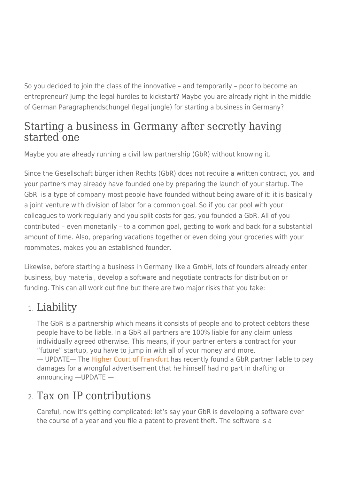So you decided to join the class of the innovative – and temporarily – poor to become an entrepreneur? Jump the legal hurdles to kickstart? Maybe you are already right in the middle of German Paragraphendschungel (legal jungle) for starting a business in Germany?

### Starting a business in Germany after secretly having started one

Maybe you are already running a civil law partnership (GbR) without knowing it.

Since the Gesellschaft bürgerlichen Rechts (GbR) does not require a written contract, you and your partners may already have founded one by preparing the launch of your startup. The GbR is a type of company most people have founded without being aware of it: it is basically a joint venture with division of labor for a common goal. So if you car pool with your colleagues to work regularly and you split costs for gas, you founded a GbR. All of you contributed – even monetarily – to a common goal, getting to work and back for a substantial amount of time. Also, preparing vacations together or even doing your groceries with your roommates, makes you an established founder.

Likewise, before starting a business in Germany like a GmbH, lots of founders already enter business, buy material, develop a software and negotiate contracts for distribution or funding. This can all work out fine but there are two major risks that you take:

# 1. Liability

The GbR is a partnership which means it consists of people and to protect debtors these people have to be liable. In a GbR all partners are 100% liable for any claim unless individually agreed otherwise. This means, if your partner enters a contract for your "future" startup, you have to jump in with all of your money and more. — UPDATE— The [Higher Court of Frankfurt](https://www.ip-rechtsberater.de/38125.htm%20--) has recently found a GbR partner liable to pay damages for a wrongful advertisement that he himself had no part in drafting or announcing —UPDATE —

# 2. Tax on IP contributions

Careful, now it's getting complicated: let's say your GbR is developing a software over the course of a year and you file a patent to prevent theft. The software is a